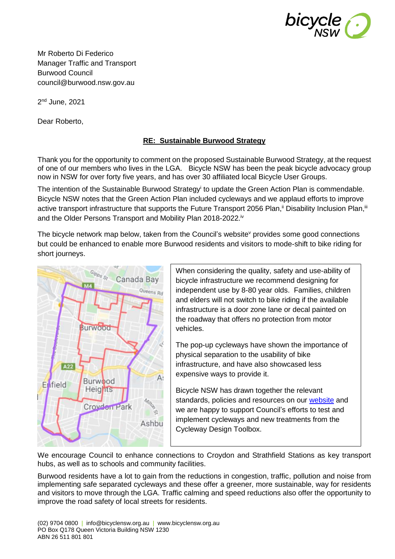

Mr Roberto Di Federico Manager Traffic and Transport Burwood Council council@burwood.nsw.gov.au

2<sup>nd</sup> June, 2021

Dear Roberto,

## **RE: Sustainable Burwood Strategy**

Thank you for the opportunity to comment on the proposed Sustainable Burwood Strategy, at the request of one of our members who lives in the LGA. Bicycle NSW has been the peak bicycle advocacy group now in NSW for over forty five years, and has over 30 affiliated local Bicycle User Groups.

The intention of the Sustainable Burwood Strategy<sup>i</sup> to update the Green Action Plan is commendable. Bicycle NSW notes that the Green Action Plan included cycleways and we applaud efforts to improve active transport infrastructure that supports the Future Transport 2056 Plan,<sup>ii</sup> Disability Inclusion Plan,<sup>ii</sup> and the Older Persons Transport and Mobility Plan 2018-2022.<sup>iv</sup>

The bicycle network map below, taken from the Council's website provides some good connections but could be enhanced to enable more Burwood residents and visitors to mode-shift to bike riding for short journeys.



When considering the quality, safety and use-ability of bicycle infrastructure we recommend designing for independent use by 8-80 year olds. Families, children and elders will not switch to bike riding if the available infrastructure is a door zone lane or decal painted on the roadway that offers no protection from motor vehicles.

The pop-up cycleways have shown the importance of physical separation to the usability of bike infrastructure, and have also showcased less expensive ways to provide it.

Bicycle NSW has drawn together the relevant standards, policies and resources on our [website](https://bicyclensw.org.au/rays-corner/) and we are happy to support Council's efforts to test and implement cycleways and new treatments from the Cycleway Design Toolbox.

We encourage Council to enhance connections to Croydon and Strathfield Stations as key transport hubs, as well as to schools and community facilities.

Burwood residents have a lot to gain from the reductions in congestion, traffic, pollution and noise from implementing safe separated cycleways and these offer a greener, more sustainable, way for residents and visitors to move through the LGA. Traffic calming and speed reductions also offer the opportunity to improve the road safety of local streets for residents.